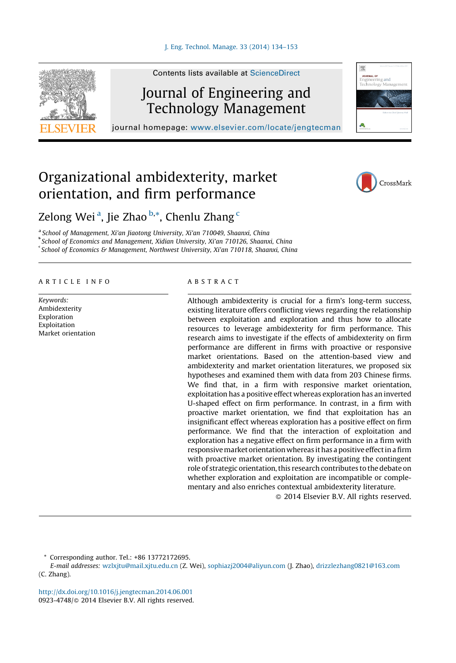

Contents lists available at [ScienceDirect](http://www.sciencedirect.com/science/journal/09234748)

## Journal of Engineering and Technology Management

journal homepage: <www.elsevier.com/locate/jengtecman>

## Organizational ambidexterity, market orientation, and firm performance



期

### Zelong Wei<sup>a</sup>, Jie Zhao <sup>b,\*</sup>, Chenlu Zhang <sup>c</sup>

<sup>a</sup> School of Management, Xi'an Jiaotong University, Xi'an 710049, Shaanxi, China b School of Economics and Management, Xidian University, Xi'an 710126, Shaanxi, China

School of Economics & Management, Northwest University, Xi'an 710118, Shaanxi, China

#### A R T I C L E I N F O

Keywords: Ambidexterity Exploration Exploitation Market orientation

#### A B S T R A C T

Although ambidexterity is crucial for a firm's long-term success, existing literature offers conflicting views regarding the relationship between exploitation and exploration and thus how to allocate resources to leverage ambidexterity for firm performance. This research aims to investigate if the effects of ambidexterity on firm performance are different in firms with proactive or responsive market orientations. Based on the attention-based view and ambidexterity and market orientation literatures, we proposed six hypotheses and examined them with data from 203 Chinese firms. We find that, in a firm with responsive market orientation, exploitation has a positive effect whereas exploration has an inverted U-shaped effect on firm performance. In contrast, in a firm with proactive market orientation, we find that exploitation has an insignificant effect whereas exploration has a positive effect on firm performance. We find that the interaction of exploitation and exploration has a negative effect on firm performance in a firm with responsive market orientation whereas it has a positive effect in a firm with proactive market orientation. By investigating the contingent role of strategic orientation, this research contributes to the debate on whether exploration and exploitation are incompatible or complementary and also enriches contextual ambidexterity literature.

- 2014 Elsevier B.V. All rights reserved.

\* Corresponding author. Tel.: +86 13772172695.

E-mail addresses: [wzlxjtu@mail.xjtu.edu.cn](mailto:wzlxjtu@mail.xjtu.edu.cn) (Z. Wei), [sophiazj2004@aliyun.com](mailto:sophiazj2004@aliyun.com) (J. Zhao), [drizzlezhang0821@163.com](mailto:drizzlezhang0821@163.com) (C. Zhang).

<http://dx.doi.org/10.1016/j.jengtecman.2014.06.001> 0923-4748/© 2014 Elsevier B.V. All rights reserved.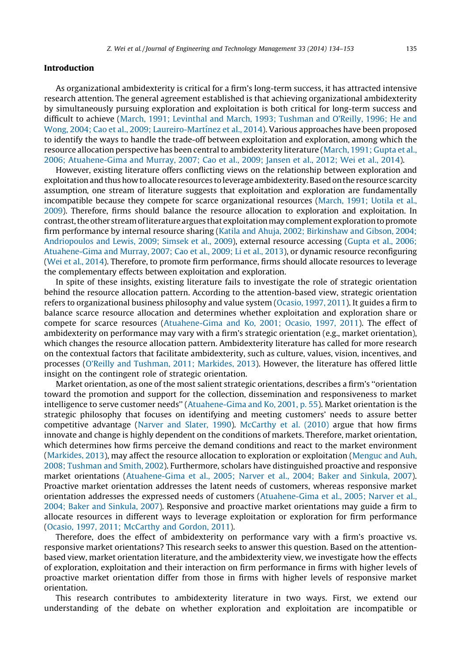#### **Introduction**

As organizational ambidexterity is critical for a firm's long-term success, it has attracted intensive research attention. The general agreement established is that achieving organizational ambidexterity by simultaneously pursuing exploration and exploitation is both critical for long-term success and difficult to achieve (March, 1991; Levinthal and March, 1993; [Tushman](#page--1-0) and O'Reilly, 1996; He and Wong, 2004; Cao et al., 2009; Laureiro-Martínez et al., 2014). Various approaches have been proposed to identify the ways to handle the trade-off between exploitation and exploration, among which the resource allocation perspective has been central to ambidexterity literature ([March,](#page--1-0) 1991; Gupta et al., 2006; [Atuahene-Gima](#page--1-0) and Murray, 2007; Cao et al., 2009; Jansen et al., 2012; Wei et al., 2014).

However, existing literature offers conflicting views on the relationship between exploration and exploitation and thus how to allocate resources to leverage ambidexterity. Based on the resource scarcity assumption, one stream of literature suggests that exploitation and exploration are fundamentally incompatible because they compete for scarce organizational resources ([March,](#page--1-0) 1991; Uotila et al., [2009](#page--1-0)). Therefore, firms should balance the resource allocation to exploration and exploitation. In contrast, the other stream of literature argues that exploitation may complement exploration to promote firm performance by internal resource sharing (Katila and Ahuja, 2002; [Birkinshaw](#page--1-0) and Gibson, 2004; [Andriopoulos](#page--1-0) and Lewis, 2009; Simsek et al., 2009), external resource accessing ([Gupta](#page--1-0) et al., 2006; [Atuahene-Gima](#page--1-0) and Murray, 2007; Cao et al., 2009; Li et al., 2013), or dynamic resource reconfiguring (Wei et al., [2014\)](#page--1-0). Therefore, to promote firm performance, firms should allocate resources to leverage the complementary effects between exploitation and exploration.

In spite of these insights, existing literature fails to investigate the role of strategic orientation behind the resource allocation pattern. According to the attention-based view, strategic orientation refers to organizational business philosophy and value system [\(Ocasio,](#page--1-0) 1997, 2011). It guides a firm to balance scarce resource allocation and determines whether exploitation and exploration share or compete for scarce resources [\(Atuahene-Gima](#page--1-0) and Ko, 2001; Ocasio, 1997, 2011). The effect of ambidexterity on performance may vary with a firm's strategic orientation (e.g., market orientation), which changes the resource allocation pattern. Ambidexterity literature has called for more research on the contextual factors that facilitate ambidexterity, such as culture, values, vision, incentives, and processes (O'Reilly and Tushman, 2011; [Markides,](#page--1-0) 2013). However, the literature has offered little insight on the contingent role of strategic orientation.

Market orientation, as one of the most salient strategic orientations, describes a firm's ''orientation toward the promotion and support for the collection, dissemination and responsiveness to market intelligence to serve customer needs'' ([Atuahene-Gima](#page--1-0) and Ko, 2001, p. 55). Market orientation is the strategic philosophy that focuses on identifying and meeting customers' needs to assure better competitive advantage ([Narver](#page--1-0) and Slater, 1990). [McCarthy](#page--1-0) et al. (2010) argue that how firms innovate and change is highly dependent on the conditions of markets. Therefore, market orientation, which determines how firms perceive the demand conditions and react to the market environment [\(Markides,](#page--1-0) 2013), may affect the resource allocation to exploration or exploitation ([Menguc](#page--1-0) and Auh, 2008; [Tushman](#page--1-0) and Smith, 2002). Furthermore, scholars have distinguished proactive and responsive market orientations ([Atuahene-Gima](#page--1-0) et al., 2005; Narver et al., 2004; Baker and Sinkula, 2007). Proactive market orientation addresses the latent needs of customers, whereas responsive market orientation addresses the expressed needs of customers [\(Atuahene-Gima](#page--1-0) et al., 2005; Narver et al., 2004; Baker and [Sinkula,](#page--1-0) 2007). Responsive and proactive market orientations may guide a firm to allocate resources in different ways to leverage exploitation or exploration for firm performance (Ocasio, 1997, 2011; [McCarthy](#page--1-0) and Gordon, 2011).

Therefore, does the effect of ambidexterity on performance vary with a firm's proactive vs. responsive market orientations? This research seeks to answer this question. Based on the attentionbased view, market orientation literature, and the ambidexterity view, we investigate how the effects of exploration, exploitation and their interaction on firm performance in firms with higher levels of proactive market orientation differ from those in firms with higher levels of responsive market orientation.

This research contributes to ambidexterity literature in two ways. First, we extend our understanding of the debate on whether exploration and exploitation are incompatible or